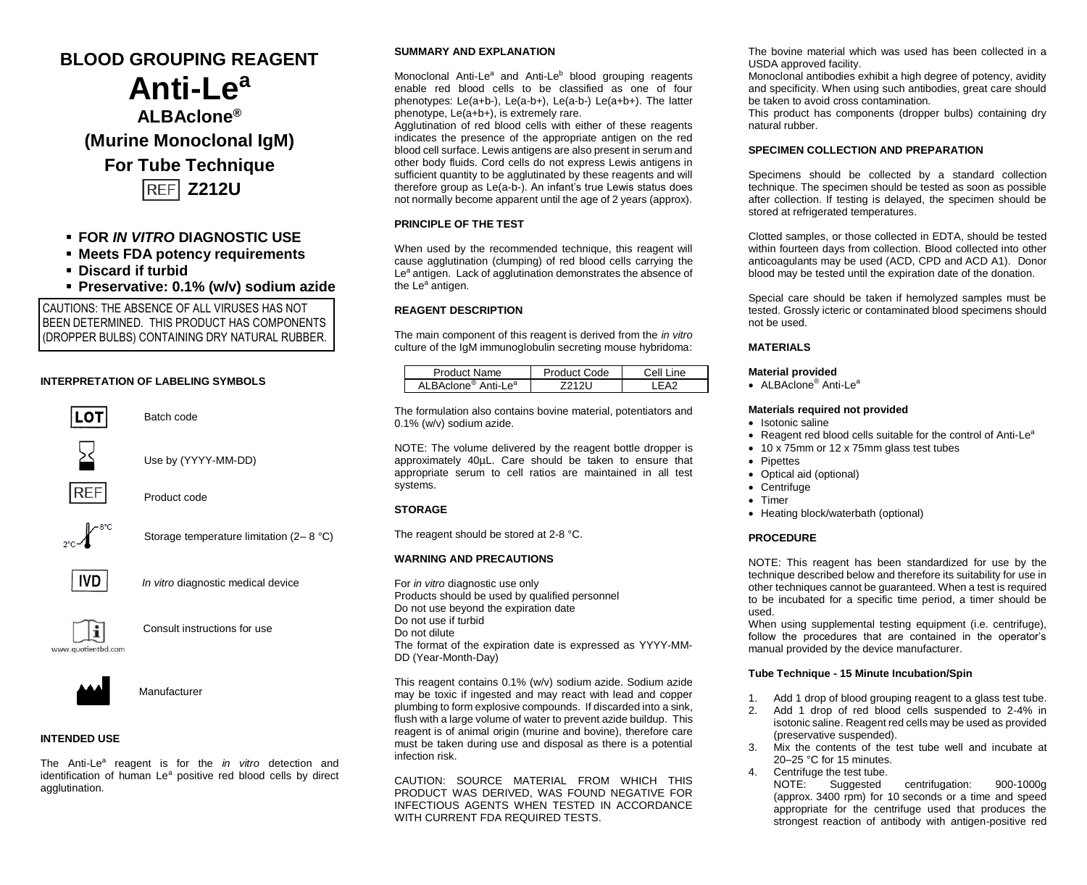# **BLOOD GROUPING REAGENT Anti-Le<sup>a</sup> ALBAclone® (Murine Monoclonal IgM) For Tube Technique REF Z212U**

# ▪ **FOR** *IN VITRO* **DIAGNOSTIC USE**

- **Meets FDA potency requirements**
- **Discard if turbid**
- **Preservative: 0.1% (w/v) sodium azide**

CAUTIONS: THE ABSENCE OF ALL VIRUSES HAS NOT BEEN DETERMINED. THIS PRODUCT HAS COMPONENTS (DROPPER BULBS) CONTAINING DRY NATURAL RUBBER.

# **INTERPRETATION OF LABELING SYMBOLS**



Batch code

Use by (YYYY-MM-DD)



Product code



Storage temperature limitation (2-8 °C)



*In vitro* diagnostic medical device



Consult instructions for use



Manufacturer

# **INTENDED USE**

The Anti-Le<sup>a</sup> reagent is for the *in vitro* detection and identification of human Le<sup>a</sup> positive red blood cells by direct agglutination.

### **SUMMARY AND EXPLANATION**

Monoclonal Anti-Le<sup>a</sup> and Anti-Le<sup>b</sup> blood grouping reagents enable red blood cells to be classified as one of four phenotypes: Le(a+b-), Le(a-b+), Le(a-b-) Le(a+b+). The latter phenotype, Le(a+b+), is extremely rare.

Agglutination of red blood cells with either of these reagents indicates the presence of the appropriate antigen on the red blood cell surface. Lewis antigens are also present in serum and other body fluids. Cord cells do not express Lewis antigens in sufficient quantity to be agglutinated by these reagents and will therefore group as Le(a-b-). An infant's true Lewis status does not normally become apparent until the age of 2 years (approx).

# **PRINCIPLE OF THE TEST**

When used by the recommended technique, this reagent will cause agglutination (clumping) of red blood cells carrying the Le<sup>a</sup> antigen. Lack of agglutination demonstrates the absence of the Le<sup>a</sup> antigen.

## **REAGENT DESCRIPTION**

The main component of this reagent is derived from the *in vitro* culture of the IgM immunoglobulin secreting mouse hybridoma:

| Product Name                                | Product Code | Cell Line |
|---------------------------------------------|--------------|-----------|
| ALBAclone <sup>®</sup> Anti-Le <sup>a</sup> |              |           |

The formulation also contains bovine material, potentiators and 0.1% (w/v) sodium azide.

NOTE: The volume delivered by the reagent bottle dropper is approximately 40µL. Care should be taken to ensure that appropriate serum to cell ratios are maintained in all test systems.

#### **STORAGE**

The reagent should be stored at 2-8 °C.

# **WARNING AND PRECAUTIONS**

For *in vitro* diagnostic use only Products should be used by qualified personnel Do not use beyond the expiration date Do not use if turbid Do not dilute The format of the expiration date is expressed as YYYY-MM-DD (Year-Month-Day)

This reagent contains 0.1% (w/v) sodium azide. Sodium azide may be toxic if ingested and may react with lead and copper plumbing to form explosive compounds. If discarded into a sink, flush with a large volume of water to prevent azide buildup. This reagent is of animal origin (murine and bovine), therefore care must be taken during use and disposal as there is a potential infection risk.

CAUTION: SOURCE MATERIAL FROM WHICH THIS PRODUCT WAS DERIVED, WAS FOUND NEGATIVE FOR INFECTIOUS AGENTS WHEN TESTED IN ACCORDANCE WITH CURRENT FDA REQUIRED TESTS.

The bovine material which was used has been collected in a USDA approved facility.

Monoclonal antibodies exhibit a high degree of potency, avidity and specificity. When using such antibodies, great care should be taken to avoid cross contamination*.*

This product has components (dropper bulbs) containing dry natural rubber.

# **SPECIMEN COLLECTION AND PREPARATION**

Specimens should be collected by a standard collection technique. The specimen should be tested as soon as possible after collection. If testing is delayed, the specimen should be stored at refrigerated temperatures.

Clotted samples, or those collected in EDTA, should be tested within fourteen days from collection. Blood collected into other anticoagulants may be used (ACD, CPD and ACD A1). Donor blood may be tested until the expiration date of the donation.

Special care should be taken if hemolyzed samples must be tested. Grossly icteric or contaminated blood specimens should not be used.

#### **MATERIALS**

#### **Material provided**

• ALBAclone<sup>®</sup> Anti-Le<sup>a</sup>

## **Materials required not provided**

- Isotonic saline
- Reagent red blood cells suitable for the control of Anti-Le<sup>a</sup>
- 10 x 75mm or 12 x 75mm glass test tubes
- Pipettes
- Optical aid (optional)
- Centrifuge
- Timer
- Heating block/waterbath (optional)

#### **PROCEDURE**

NOTE: This reagent has been standardized for use by the technique described below and therefore its suitability for use in other techniques cannot be guaranteed. When a test is required to be incubated for a specific time period, a timer should be used.

When using supplemental testing equipment (i.e. centrifuge), follow the procedures that are contained in the operator's manual provided by the device manufacturer.

# **Tube Technique - 15 Minute Incubation/Spin**

- 1. Add 1 drop of blood grouping reagent to a glass test tube.
- 2. Add 1 drop of red blood cells suspended to 2-4% in isotonic saline. Reagent red cells may be used as provided (preservative suspended).
- 3. Mix the contents of the test tube well and incubate at 20–25 °C for 15 minutes.
- 4. Centrifuge the test tube.<br>NOTE: Suggested
	- centrifugation: 900-1000g (approx. 3400 rpm) for 10 seconds or a time and speed appropriate for the centrifuge used that produces the strongest reaction of antibody with antigen-positive red